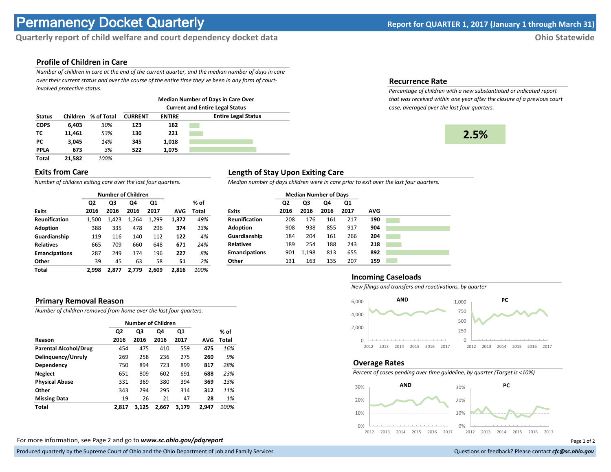# **Permanency Docket Quarterly Report for QUARTER 1, 2017 (January 1 through March 31)**

# **Quarterly report of child welfare and court dependency docket data Ohio Statewide**

## **Profile of Children in Care**

*Number of children in care at the end of the current quarter, and the median number of days in care over their current status and over the course of the entire time they've been in any form of courtinvolved protective status.*

|               |                 |            | <b>Median Number of Days in Care Over</b><br><b>Current and Entire Legal Status</b> |               |                            |  |  |  |  |  |
|---------------|-----------------|------------|-------------------------------------------------------------------------------------|---------------|----------------------------|--|--|--|--|--|
|               |                 |            |                                                                                     |               |                            |  |  |  |  |  |
| <b>Status</b> | <b>Children</b> | % of Total | <b>CURRENT</b>                                                                      | <b>ENTIRE</b> | <b>Entire Legal Status</b> |  |  |  |  |  |
| <b>COPS</b>   | 6.403           | 30%        | 123                                                                                 | 162           |                            |  |  |  |  |  |
| тс            | 11.461          | 53%        | 130                                                                                 | 221           |                            |  |  |  |  |  |
| PС            | 3.045           | 14%        | 345                                                                                 | 1.018         |                            |  |  |  |  |  |
| <b>PPLA</b>   | 673             | 3%         | 522                                                                                 | 1.075         |                            |  |  |  |  |  |
| <b>Total</b>  | 21.582          | 100%       |                                                                                     |               |                            |  |  |  |  |  |

#### **Exits from Care**

*Number of children exiting care over the last four quarters.*

|                      |       | <b>Number of Children</b> |       |       |       |       |
|----------------------|-------|---------------------------|-------|-------|-------|-------|
|                      | Q2    | Q3                        | Q4    | Q1    |       | % of  |
| <b>Exits</b>         | 2016  | 2016                      | 2016  | 2017  | AVG   | Total |
| <b>Reunification</b> | 1,500 | 1.423                     | 1,264 | 1,299 | 1,372 | 49%   |
| <b>Adoption</b>      | 388   | 335                       | 478   | 296   | 374   | 13%   |
| Guardianship         | 119   | 116                       | 140   | 112   | 122   | 4%    |
| <b>Relatives</b>     | 665   | 709                       | 660   | 648   | 671   | 24%   |
| <b>Emancipations</b> | 287   | 249                       | 174   | 196   | 227   | 8%    |
| Other                | 39    | 45                        | 63    | 58    | 51    | 2%    |
| Total                | 2.998 | 2.877                     | 2,779 | 2.609 | 2.816 | 100%  |

### **Length of Stay Upon Exiting Care**

*Median number of days children were in care prior to exit over the last four quarters.*

|                      | <b>Median Number of Days</b> |       |      |      |            |  |
|----------------------|------------------------------|-------|------|------|------------|--|
|                      | Q <sub>2</sub>               | Q3    | Q4   | Q1   |            |  |
| <b>Exits</b>         | 2016                         | 2016  | 2016 | 2017 | <b>AVG</b> |  |
| <b>Reunification</b> | 208                          | 176   | 161  | 217  | 190        |  |
| <b>Adoption</b>      | 908                          | 938   | 855  | 917  | 904        |  |
| Guardianship         | 184                          | 204   | 161  | 266  | 204        |  |
| <b>Relatives</b>     | 189                          | 254   | 188  | 243  | 218        |  |
| <b>Emancipations</b> | 901                          | 1,198 | 813  | 655  | 892        |  |
| Other                | 131                          | 163   | 135  | 207  | 159        |  |

#### **Primary Removal Reason**

*Number of children removed from home over the last four quarters.*

|                              |       | Number of Children |       |       |       |       |
|------------------------------|-------|--------------------|-------|-------|-------|-------|
|                              | Q2    | Q3                 | Q4    | Q1    |       | % of  |
| Reason                       | 2016  | 2016               | 2016  | 2017  | AVG   | Total |
| <b>Parental Alcohol/Drug</b> | 454   | 475                | 410   | 559   | 475   | 16%   |
| Delinquency/Unruly           | 269   | 258                | 236   | 275   | 260   | 9%    |
| Dependency                   | 750   | 894                | 723   | 899   | 817   | 28%   |
| <b>Neglect</b>               | 651   | 809                | 602   | 691   | 688   | 23%   |
| <b>Physical Abuse</b>        | 331   | 369                | 380   | 394   | 369   | 13%   |
| Other                        | 343   | 294                | 295   | 314   | 312   | 11%   |
| <b>Missing Data</b>          | 19    | 26                 | 21    | 47    | 28    | 1%    |
| Total                        | 2.817 | 3.125              | 2.667 | 3.179 | 2.947 | 100%  |

For more information, see Page 2 and go to *www.sc.ohio.gov/pdqreport* Page 1 of 2

#### **Incoming Caseloads**

*New filings and transfers and reactivations, by quarter*



#### **Overage Rates**

*Percent of cases pending over time guideline, by quarter (Target is <10%)*



# **Recurrence Rate**

*Percentage of children with a new substantiated or indicated report that was received within one year after the closure of a previous court case, averaged over the last four quarters.*